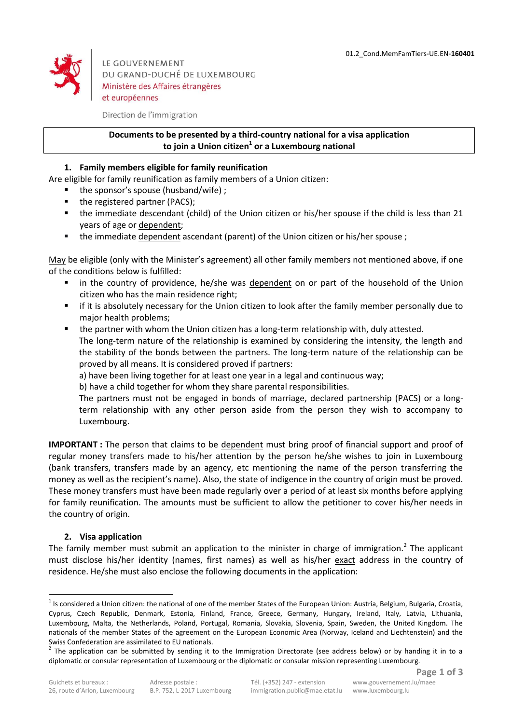

LE GOUVERNEMENT DU GRAND-DUCHÉ DE LUXEMBOURG Ministère des Affaires étrangères et européennes

Direction de l'immigration

## **Documents to be presented by a third-country national for a visa application to join a Union citizen<sup>1</sup> or a Luxembourg national**

## **1. Family members eligible for family reunification**

Are eligible for family reunification as family members of a Union citizen:

- $\blacksquare$  the sponsor's spouse (husband/wife) ;
- the registered partner (PACS);
- the immediate descendant (child) of the Union citizen or his/her spouse if the child is less than 21 years of age or dependent;
- the immediate dependent ascendant (parent) of the Union citizen or his/her spouse ;

May be eligible (only with the Minister's agreement) all other family members not mentioned above, if one of the conditions below is fulfilled:

- in the country of providence, he/she was dependent on or part of the household of the Union citizen who has the main residence right;
- if it is absolutely necessary for the Union citizen to look after the family member personally due to major health problems;
- the partner with whom the Union citizen has a long-term relationship with, duly attested. The long-term nature of the relationship is examined by considering the intensity, the length and the stability of the bonds between the partners. The long-term nature of the relationship can be proved by all means. It is considered proved if partners:

a) have been living together for at least one year in a legal and continuous way;

b) have a child together for whom they share parental responsibilities.

The partners must not be engaged in bonds of marriage, declared partnership (PACS) or a longterm relationship with any other person aside from the person they wish to accompany to Luxembourg.

**IMPORTANT :** The person that claims to be dependent must bring proof of financial support and proof of regular money transfers made to his/her attention by the person he/she wishes to join in Luxembourg (bank transfers, transfers made by an agency, etc mentioning the name of the person transferring the money as well as the recipient's name). Also, the state of indigence in the country of origin must be proved. These money transfers must have been made regularly over a period of at least six months before applying for family reunification. The amounts must be sufficient to allow the petitioner to cover his/her needs in the country of origin.

## **2. Visa application**

1

The family member must submit an application to the minister in charge of immigration.<sup>2</sup> The applicant must disclose his/her identity (names, first names) as well as his/her exact address in the country of residence. He/she must also enclose the following documents in the application:

 $1$  Is considered a Union citizen: the national of one of the member States of the European Union: Austria, Belgium, Bulgaria, Croatia, Cyprus, Czech Republic, Denmark, Estonia, Finland, France, Greece, Germany, Hungary, Ireland, Italy, Latvia, Lithuania, Luxembourg, Malta, the Netherlands, Poland, Portugal, Romania, Slovakia, Slovenia, Spain, Sweden, the United Kingdom. The nationals of the member States of the agreement on the European Economic Area (Norway, Iceland and Liechtenstein) and the Swiss Confederation are assimilated to EU nationals.

<sup>2</sup> The application can be submitted by sending it to the Immigration Directorate (see address below) or by handing it in to a diplomatic or consular representation of Luxembourg or the diplomatic or consular mission representing Luxembourg.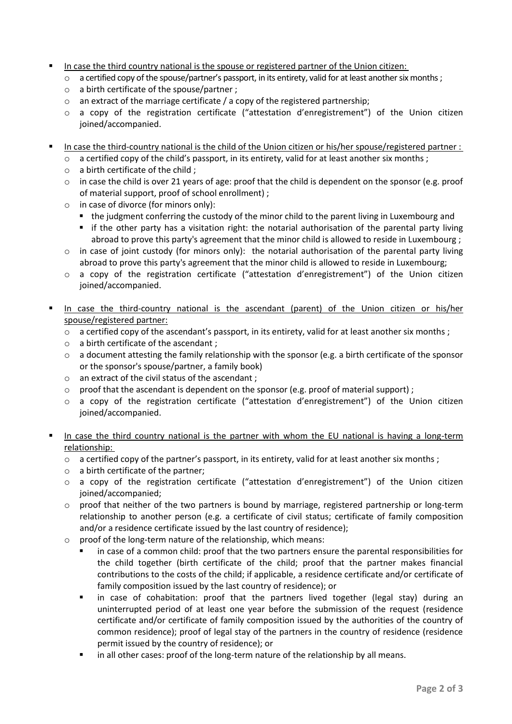- In case the third country national is the spouse or registered partner of the Union citizen:
	- o a certified copy of the spouse/partner's passport, in its entirety, valid for at least another six months;
	- o a birth certificate of the spouse/partner ;
	- $\circ$  an extract of the marriage certificate / a copy of the registered partnership;
	- $\circ$  a copy of the registration certificate ("attestation d'enregistrement") of the Union citizen joined/accompanied.
- In case the third-country national is the child of the Union citizen or his/her spouse/registered partner :
	- $\circ$  a certified copy of the child's passport, in its entirety, valid for at least another six months;
	- $\circ$  a birth certificate of the child :
	- $\circ$  in case the child is over 21 years of age: proof that the child is dependent on the sponsor (e.g. proof of material support, proof of school enrollment) ;
	- o in case of divorce (for minors only):
		- the judgment conferring the custody of the minor child to the parent living in Luxembourg and
		- if the other party has a visitation right: the notarial authorisation of the parental party living abroad to prove this party's agreement that the minor child is allowed to reside in Luxembourg ;
	- $\circ$  in case of joint custody (for minors only): the notarial authorisation of the parental party living abroad to prove this party's agreement that the minor child is allowed to reside in Luxembourg;
	- o a copy of the registration certificate ("attestation d'enregistrement") of the Union citizen joined/accompanied.
- In case the third-country national is the ascendant (parent) of the Union citizen or his/her spouse/registered partner:
	- $\circ$  a certified copy of the ascendant's passport, in its entirety, valid for at least another six months;
	- o a birth certificate of the ascendant ;
	- $\circ$  a document attesting the family relationship with the sponsor (e.g. a birth certificate of the sponsor or the sponsor's spouse/partner, a family book)
	- o an extract of the civil status of the ascendant ;
	- $\circ$  proof that the ascendant is dependent on the sponsor (e.g. proof of material support);
	- o a copy of the registration certificate ("attestation d'enregistrement") of the Union citizen joined/accompanied.
- In case the third country national is the partner with whom the EU national is having a long-term relationship:
	- $\circ$  a certified copy of the partner's passport, in its entirety, valid for at least another six months ;
	- o a birth certificate of the partner;
	- $\circ$  a copy of the registration certificate ("attestation d'enregistrement") of the Union citizen joined/accompanied;
	- $\circ$  proof that neither of the two partners is bound by marriage, registered partnership or long-term relationship to another person (e.g. a certificate of civil status; certificate of family composition and/or a residence certificate issued by the last country of residence);
	- o proof of the long-term nature of the relationship, which means:
		- in case of a common child: proof that the two partners ensure the parental responsibilities for the child together (birth certificate of the child; proof that the partner makes financial contributions to the costs of the child; if applicable, a residence certificate and/or certificate of family composition issued by the last country of residence); or
		- in case of cohabitation: proof that the partners lived together (legal stay) during an uninterrupted period of at least one year before the submission of the request (residence certificate and/or certificate of family composition issued by the authorities of the country of common residence); proof of legal stay of the partners in the country of residence (residence permit issued by the country of residence); or
		- in all other cases: proof of the long-term nature of the relationship by all means.